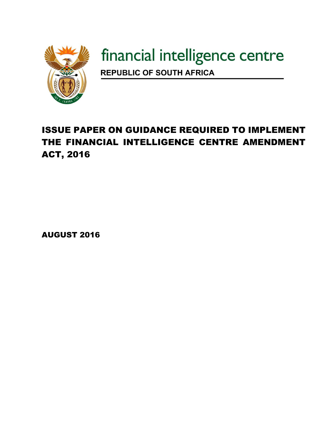

# financial intelligence centre

**REPUBLIC OF SOUTH AFRICA** 

# ISSUE PAPER ON GUIDANCE REQUIRED TO IMPLEMENT THE FINANCIAL INTELLIGENCE CENTRE AMENDMENT ACT, 2016

AUGUST 2016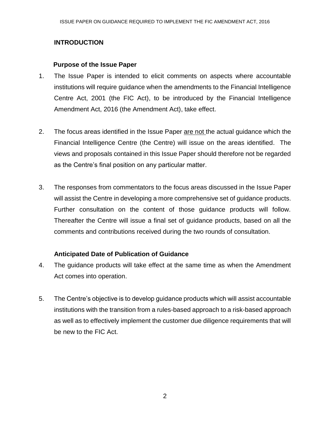# **INTRODUCTION**

## **Purpose of the Issue Paper**

- 1. The Issue Paper is intended to elicit comments on aspects where accountable institutions will require guidance when the amendments to the Financial Intelligence Centre Act, 2001 (the FIC Act), to be introduced by the Financial Intelligence Amendment Act, 2016 (the Amendment Act), take effect.
- 2. The focus areas identified in the Issue Paper are not the actual guidance which the Financial Intelligence Centre (the Centre) will issue on the areas identified. The views and proposals contained in this Issue Paper should therefore not be regarded as the Centre's final position on any particular matter.
- 3. The responses from commentators to the focus areas discussed in the Issue Paper will assist the Centre in developing a more comprehensive set of guidance products. Further consultation on the content of those guidance products will follow. Thereafter the Centre will issue a final set of guidance products, based on all the comments and contributions received during the two rounds of consultation.

# **Anticipated Date of Publication of Guidance**

- 4. The guidance products will take effect at the same time as when the Amendment Act comes into operation.
- 5. The Centre's objective is to develop guidance products which will assist accountable institutions with the transition from a rules-based approach to a risk-based approach as well as to effectively implement the customer due diligence requirements that will be new to the FIC Act.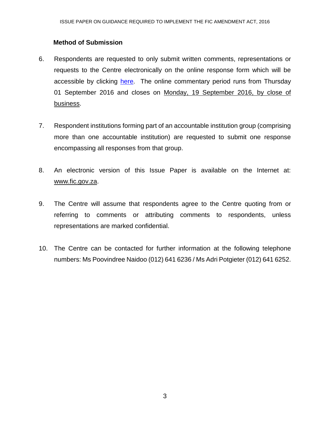## **Method of Submission**

- 6. Respondents are requested to only submit written comments, representations or requests to the Centre electronically on the online response form which will be accessible by clicking [here.](https://www.fic.gov.za/IssuePaper/Lists/IssuePaper/Newform.aspx) The online commentary period runs from Thursday 01 September 2016 and closes on Monday, 19 September 2016, by close of business.
- 7. Respondent institutions forming part of an accountable institution group (comprising more than one accountable institution) are requested to submit one response encompassing all responses from that group.
- 8. An electronic version of this Issue Paper is available on the Internet at: www.fic.gov.za.
- 9. The Centre will assume that respondents agree to the Centre quoting from or referring to comments or attributing comments to respondents, unless representations are marked confidential.
- 10. The Centre can be contacted for further information at the following telephone numbers: Ms Poovindree Naidoo (012) 641 6236 / Ms Adri Potgieter (012) 641 6252.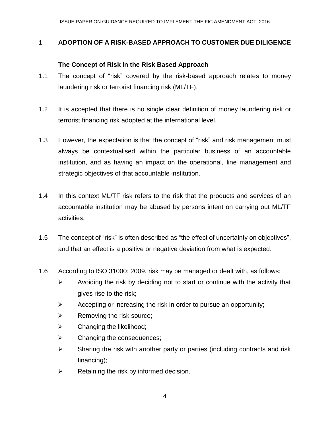# **1 ADOPTION OF A RISK-BASED APPROACH TO CUSTOMER DUE DILIGENCE**

## **The Concept of Risk in the Risk Based Approach**

- 1.1 The concept of "risk" covered by the risk-based approach relates to money laundering risk or terrorist financing risk (ML/TF).
- 1.2 It is accepted that there is no single clear definition of money laundering risk or terrorist financing risk adopted at the international level.
- 1.3 However, the expectation is that the concept of "risk" and risk management must always be contextualised within the particular business of an accountable institution, and as having an impact on the operational, line management and strategic objectives of that accountable institution.
- 1.4 In this context ML/TF risk refers to the risk that the products and services of an accountable institution may be abused by persons intent on carrying out ML/TF activities.
- 1.5 The concept of "risk" is often described as "the effect of uncertainty on objectives", and that an effect is a positive or negative deviation from what is expected.
- 1.6 According to ISO 31000: 2009, risk may be managed or dealt with, as follows:
	- $\triangleright$  Avoiding the risk by deciding not to start or continue with the activity that gives rise to the risk;
	- $\triangleright$  Accepting or increasing the risk in order to pursue an opportunity;
	- $\triangleright$  Removing the risk source;
	- $\triangleright$  Changing the likelihood;
	- $\triangleright$  Changing the consequences;
	- $\triangleright$  Sharing the risk with another party or parties (including contracts and risk financing);
	- $\triangleright$  Retaining the risk by informed decision.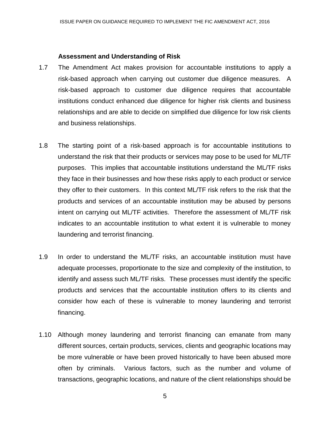#### **Assessment and Understanding of Risk**

- 1.7 The Amendment Act makes provision for accountable institutions to apply a risk-based approach when carrying out customer due diligence measures. A risk-based approach to customer due diligence requires that accountable institutions conduct enhanced due diligence for higher risk clients and business relationships and are able to decide on simplified due diligence for low risk clients and business relationships.
- 1.8 The starting point of a risk-based approach is for accountable institutions to understand the risk that their products or services may pose to be used for ML/TF purposes. This implies that accountable institutions understand the ML/TF risks they face in their businesses and how these risks apply to each product or service they offer to their customers. In this context ML/TF risk refers to the risk that the products and services of an accountable institution may be abused by persons intent on carrying out ML/TF activities. Therefore the assessment of ML/TF risk indicates to an accountable institution to what extent it is vulnerable to money laundering and terrorist financing.
- 1.9 In order to understand the ML/TF risks, an accountable institution must have adequate processes, proportionate to the size and complexity of the institution, to identify and assess such ML/TF risks. These processes must identify the specific products and services that the accountable institution offers to its clients and consider how each of these is vulnerable to money laundering and terrorist financing.
- 1.10 Although money laundering and terrorist financing can emanate from many different sources, certain products, services, clients and geographic locations may be more vulnerable or have been proved historically to have been abused more often by criminals. Various factors, such as the number and volume of transactions, geographic locations, and nature of the client relationships should be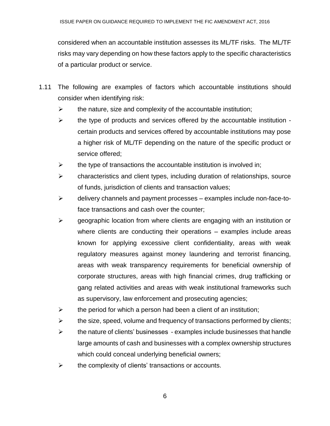considered when an accountable institution assesses its ML/TF risks. The ML/TF risks may vary depending on how these factors apply to the specific characteristics of a particular product or service.

- 1.11 The following are examples of factors which accountable institutions should consider when identifying risk:
	- $\triangleright$  the nature, size and complexity of the accountable institution;
	- $\triangleright$  the type of products and services offered by the accountable institution certain products and services offered by accountable institutions may pose a higher risk of ML/TF depending on the nature of the specific product or service offered;
	- $\triangleright$  the type of transactions the accountable institution is involved in;
	- $\triangleright$  characteristics and client types, including duration of relationships, source of funds, jurisdiction of clients and transaction values;
	- $\triangleright$  delivery channels and payment processes examples include non-face-toface transactions and cash over the counter;
	- $\triangleright$  geographic location from where clients are engaging with an institution or where clients are conducting their operations – examples include areas known for applying excessive client confidentiality, areas with weak regulatory measures against money laundering and terrorist financing, areas with weak transparency requirements for beneficial ownership of corporate structures, areas with high financial crimes, drug trafficking or gang related activities and areas with weak institutional frameworks such as supervisory, law enforcement and prosecuting agencies;
	- $\triangleright$  the period for which a person had been a client of an institution;
	- $\triangleright$  the size, speed, volume and frequency of transactions performed by clients;
	- $\triangleright$  the nature of clients' businesses examples include businesses that handle large amounts of cash and businesses with a complex ownership structures which could conceal underlying beneficial owners;
	- $\triangleright$  the complexity of clients' transactions or accounts.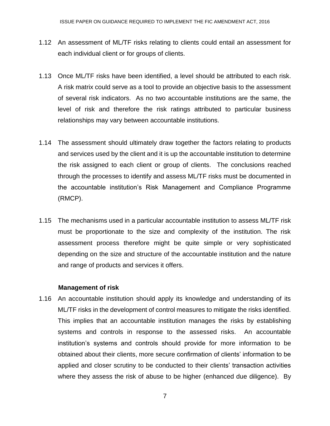- 1.12 An assessment of ML/TF risks relating to clients could entail an assessment for each individual client or for groups of clients.
- 1.13 Once ML/TF risks have been identified, a level should be attributed to each risk. A risk matrix could serve as a tool to provide an objective basis to the assessment of several risk indicators. As no two accountable institutions are the same, the level of risk and therefore the risk ratings attributed to particular business relationships may vary between accountable institutions.
- 1.14 The assessment should ultimately draw together the factors relating to products and services used by the client and it is up the accountable institution to determine the risk assigned to each client or group of clients. The conclusions reached through the processes to identify and assess ML/TF risks must be documented in the accountable institution's Risk Management and Compliance Programme (RMCP).
- 1.15 The mechanisms used in a particular accountable institution to assess ML/TF risk must be proportionate to the size and complexity of the institution. The risk assessment process therefore might be quite simple or very sophisticated depending on the size and structure of the accountable institution and the nature and range of products and services it offers.

#### **Management of risk**

1.16 An accountable institution should apply its knowledge and understanding of its ML/TF risks in the development of control measures to mitigate the risks identified. This implies that an accountable institution manages the risks by establishing systems and controls in response to the assessed risks. An accountable institution's systems and controls should provide for more information to be obtained about their clients, more secure confirmation of clients' information to be applied and closer scrutiny to be conducted to their clients' transaction activities where they assess the risk of abuse to be higher (enhanced due diligence). By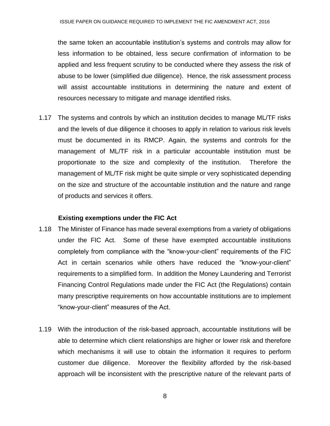the same token an accountable institution's systems and controls may allow for less information to be obtained, less secure confirmation of information to be applied and less frequent scrutiny to be conducted where they assess the risk of abuse to be lower (simplified due diligence). Hence, the risk assessment process will assist accountable institutions in determining the nature and extent of resources necessary to mitigate and manage identified risks.

1.17 The systems and controls by which an institution decides to manage ML/TF risks and the levels of due diligence it chooses to apply in relation to various risk levels must be documented in its RMCP. Again, the systems and controls for the management of ML/TF risk in a particular accountable institution must be proportionate to the size and complexity of the institution. Therefore the management of ML/TF risk might be quite simple or very sophisticated depending on the size and structure of the accountable institution and the nature and range of products and services it offers.

#### **Existing exemptions under the FIC Act**

- 1.18 The Minister of Finance has made several exemptions from a variety of obligations under the FIC Act. Some of these have exempted accountable institutions completely from compliance with the "know-your-client" requirements of the FIC Act in certain scenarios while others have reduced the "know-your-client" requirements to a simplified form. In addition the Money Laundering and Terrorist Financing Control Regulations made under the FIC Act (the Regulations) contain many prescriptive requirements on how accountable institutions are to implement "know-your-client" measures of the Act.
- 1.19 With the introduction of the risk-based approach, accountable institutions will be able to determine which client relationships are higher or lower risk and therefore which mechanisms it will use to obtain the information it requires to perform customer due diligence. Moreover the flexibility afforded by the risk-based approach will be inconsistent with the prescriptive nature of the relevant parts of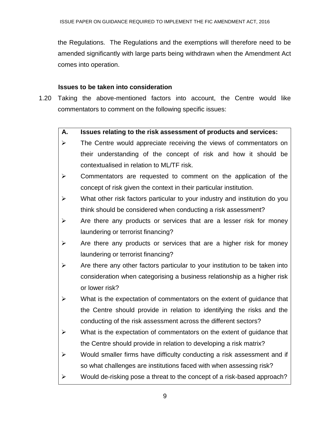the Regulations. The Regulations and the exemptions will therefore need to be amended significantly with large parts being withdrawn when the Amendment Act comes into operation.

#### **Issues to be taken into consideration**

1.20 Taking the above-mentioned factors into account, the Centre would like commentators to comment on the following specific issues:

# **A. Issues relating to the risk assessment of products and services:**

- $\triangleright$  The Centre would appreciate receiving the views of commentators on their understanding of the concept of risk and how it should be contextualised in relation to ML/TF risk.
- $\triangleright$  Commentators are requested to comment on the application of the concept of risk given the context in their particular institution.
- $\triangleright$  What other risk factors particular to your industry and institution do you think should be considered when conducting a risk assessment?
- $\triangleright$  Are there any products or services that are a lesser risk for money laundering or terrorist financing?
- $\triangleright$  Are there any products or services that are a higher risk for money laundering or terrorist financing?
- $\triangleright$  Are there any other factors particular to your institution to be taken into consideration when categorising a business relationship as a higher risk or lower risk?
- $\triangleright$  What is the expectation of commentators on the extent of guidance that the Centre should provide in relation to identifying the risks and the conducting of the risk assessment across the different sectors?
- $\triangleright$  What is the expectation of commentators on the extent of quidance that the Centre should provide in relation to developing a risk matrix?
- $\triangleright$  Would smaller firms have difficulty conducting a risk assessment and if so what challenges are institutions faced with when assessing risk?
- $\triangleright$  Would de-risking pose a threat to the concept of a risk-based approach?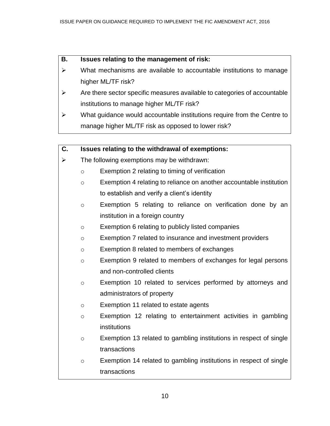#### **B. Issues relating to the management of risk:**

- $\triangleright$  What mechanisms are available to accountable institutions to manage higher ML/TF risk?
- $\triangleright$  Are there sector specific measures available to categories of accountable institutions to manage higher ML/TF risk?
- $\triangleright$  What guidance would accountable institutions require from the Centre to manage higher ML/TF risk as opposed to lower risk?

#### **C. Issues relating to the withdrawal of exemptions:**

- $\triangleright$  The following exemptions may be withdrawn:
	- o Exemption 2 relating to timing of verification
	- o Exemption 4 relating to reliance on another accountable institution to establish and verify a client's identity
	- o Exemption 5 relating to reliance on verification done by an institution in a foreign country
	- o Exemption 6 relating to publicly listed companies
	- o Exemption 7 related to insurance and investment providers
	- o Exemption 8 related to members of exchanges
	- o Exemption 9 related to members of exchanges for legal persons and non-controlled clients
	- o Exemption 10 related to services performed by attorneys and administrators of property
	- o Exemption 11 related to estate agents
	- o Exemption 12 relating to entertainment activities in gambling institutions
	- o Exemption 13 related to gambling institutions in respect of single transactions
	- o Exemption 14 related to gambling institutions in respect of single transactions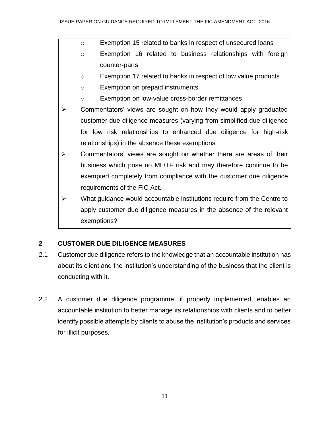- o Exemption 15 related to banks in respect of unsecured loans
- o Exemption 16 related to business relationships with foreign counter-parts
- o Exemption 17 related to banks in respect of low value products
- o Exemption on prepaid instruments
- o Exemption on low-value cross-border remittances
- $\triangleright$  Commentators' views are sought on how they would apply graduated customer due diligence measures (varying from simplified due diligence for low risk relationships to enhanced due diligence for high-risk relationships) in the absence these exemptions
- $\triangleright$  Commentators' views are sought on whether there are areas of their business which pose no ML/TF risk and may therefore continue to be exempted completely from compliance with the customer due diligence requirements of the FIC Act.
- $\triangleright$  What quidance would accountable institutions require from the Centre to apply customer due diligence measures in the absence of the relevant exemptions?

# **2 CUSTOMER DUE DILIGENCE MEASURES**

- 2.1 Customer due diligence refers to the knowledge that an accountable institution has about its client and the institution's understanding of the business that the client is conducting with it.
- 2.2 A customer due diligence programme, if properly implemented, enables an accountable institution to better manage its relationships with clients and to better identify possible attempts by clients to abuse the institution's products and services for illicit purposes.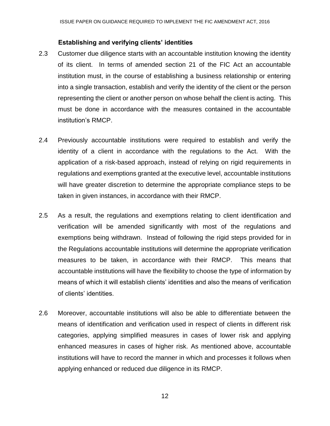#### **Establishing and verifying clients' identities**

- 2.3 Customer due diligence starts with an accountable institution knowing the identity of its client. In terms of amended section 21 of the FIC Act an accountable institution must, in the course of establishing a business relationship or entering into a single transaction, establish and verify the identity of the client or the person representing the client or another person on whose behalf the client is acting. This must be done in accordance with the measures contained in the accountable institution's RMCP.
- 2.4 Previously accountable institutions were required to establish and verify the identity of a client in accordance with the regulations to the Act. With the application of a risk-based approach, instead of relying on rigid requirements in regulations and exemptions granted at the executive level, accountable institutions will have greater discretion to determine the appropriate compliance steps to be taken in given instances, in accordance with their RMCP.
- 2.5 As a result, the regulations and exemptions relating to client identification and verification will be amended significantly with most of the regulations and exemptions being withdrawn. Instead of following the rigid steps provided for in the Regulations accountable institutions will determine the appropriate verification measures to be taken, in accordance with their RMCP. This means that accountable institutions will have the flexibility to choose the type of information by means of which it will establish clients' identities and also the means of verification of clients' identities.
- 2.6 Moreover, accountable institutions will also be able to differentiate between the means of identification and verification used in respect of clients in different risk categories, applying simplified measures in cases of lower risk and applying enhanced measures in cases of higher risk. As mentioned above, accountable institutions will have to record the manner in which and processes it follows when applying enhanced or reduced due diligence in its RMCP.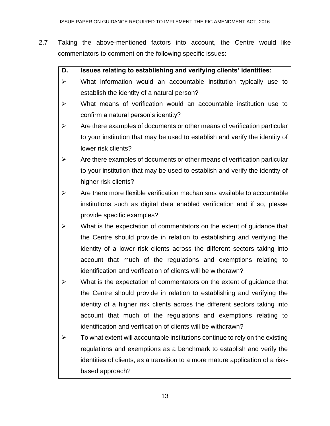- 2.7 Taking the above-mentioned factors into account, the Centre would like commentators to comment on the following specific issues:
	- **D. Issues relating to establishing and verifying clients' identities:**
	- $\triangleright$  What information would an accountable institution typically use to establish the identity of a natural person?
	- $\triangleright$  What means of verification would an accountable institution use to confirm a natural person's identity?
	- $\triangleright$  Are there examples of documents or other means of verification particular to your institution that may be used to establish and verify the identity of lower risk clients?
	- $\triangleright$  Are there examples of documents or other means of verification particular to your institution that may be used to establish and verify the identity of higher risk clients?
	- $\triangleright$  Are there more flexible verification mechanisms available to accountable institutions such as digital data enabled verification and if so, please provide specific examples?
	- $\triangleright$  What is the expectation of commentators on the extent of guidance that the Centre should provide in relation to establishing and verifying the identity of a lower risk clients across the different sectors taking into account that much of the regulations and exemptions relating to identification and verification of clients will be withdrawn?
	- $\triangleright$  What is the expectation of commentators on the extent of guidance that the Centre should provide in relation to establishing and verifying the identity of a higher risk clients across the different sectors taking into account that much of the regulations and exemptions relating to identification and verification of clients will be withdrawn?
	- $\triangleright$  To what extent will accountable institutions continue to rely on the existing regulations and exemptions as a benchmark to establish and verify the identities of clients, as a transition to a more mature application of a riskbased approach?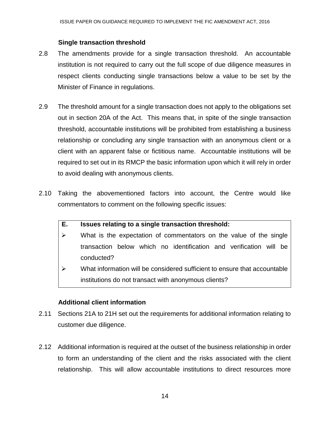#### **Single transaction threshold**

- 2.8 The amendments provide for a single transaction threshold. An accountable institution is not required to carry out the full scope of due diligence measures in respect clients conducting single transactions below a value to be set by the Minister of Finance in regulations.
- 2.9 The threshold amount for a single transaction does not apply to the obligations set out in section 20A of the Act. This means that, in spite of the single transaction threshold, accountable institutions will be prohibited from establishing a business relationship or concluding any single transaction with an anonymous client or a client with an apparent false or fictitious name. Accountable institutions will be required to set out in its RMCP the basic information upon which it will rely in order to avoid dealing with anonymous clients.
- 2.10 Taking the abovementioned factors into account, the Centre would like commentators to comment on the following specific issues:
	- **E. Issues relating to a single transaction threshold:**
	- $\triangleright$  What is the expectation of commentators on the value of the single transaction below which no identification and verification will be conducted?
	- $\triangleright$  What information will be considered sufficient to ensure that accountable institutions do not transact with anonymous clients?

#### **Additional client information**

- 2.11 Sections 21A to 21H set out the requirements for additional information relating to customer due diligence.
- 2.12 Additional information is required at the outset of the business relationship in order to form an understanding of the client and the risks associated with the client relationship. This will allow accountable institutions to direct resources more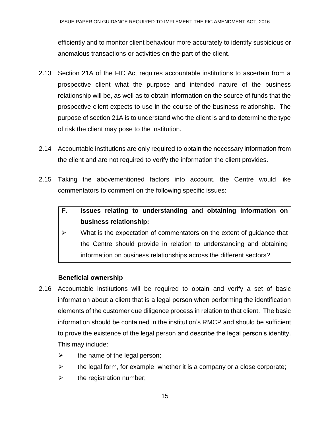efficiently and to monitor client behaviour more accurately to identify suspicious or anomalous transactions or activities on the part of the client.

- 2.13 Section 21A of the FIC Act requires accountable institutions to ascertain from a prospective client what the purpose and intended nature of the business relationship will be, as well as to obtain information on the source of funds that the prospective client expects to use in the course of the business relationship. The purpose of section 21A is to understand who the client is and to determine the type of risk the client may pose to the institution.
- 2.14 Accountable institutions are only required to obtain the necessary information from the client and are not required to verify the information the client provides.
- 2.15 Taking the abovementioned factors into account, the Centre would like commentators to comment on the following specific issues:

# **F. Issues relating to understanding and obtaining information on business relationship:**

 $\triangleright$  What is the expectation of commentators on the extent of guidance that the Centre should provide in relation to understanding and obtaining information on business relationships across the different sectors?

# **Beneficial ownership**

- 2.16 Accountable institutions will be required to obtain and verify a set of basic information about a client that is a legal person when performing the identification elements of the customer due diligence process in relation to that client. The basic information should be contained in the institution's RMCP and should be sufficient to prove the existence of the legal person and describe the legal person's identity. This may include:
	- $\triangleright$  the name of the legal person;
	- $\triangleright$  the legal form, for example, whether it is a company or a close corporate;
	- $\triangleright$  the registration number;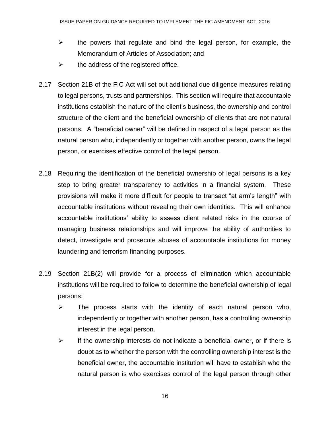- $\triangleright$  the powers that regulate and bind the legal person, for example, the Memorandum of Articles of Association; and
- $\triangleright$  the address of the registered office.
- 2.17 Section 21B of the FIC Act will set out additional due diligence measures relating to legal persons, trusts and partnerships. This section will require that accountable institutions establish the nature of the client's business, the ownership and control structure of the client and the beneficial ownership of clients that are not natural persons. A "beneficial owner" will be defined in respect of a legal person as the natural person who, independently or together with another person, owns the legal person, or exercises effective control of the legal person.
- 2.18 Requiring the identification of the beneficial ownership of legal persons is a key step to bring greater transparency to activities in a financial system. These provisions will make it more difficult for people to transact "at arm's length" with accountable institutions without revealing their own identities. This will enhance accountable institutions' ability to assess client related risks in the course of managing business relationships and will improve the ability of authorities to detect, investigate and prosecute abuses of accountable institutions for money laundering and terrorism financing purposes.
- 2.19 Section 21B(2) will provide for a process of elimination which accountable institutions will be required to follow to determine the beneficial ownership of legal persons:
	- $\triangleright$  The process starts with the identity of each natural person who, independently or together with another person, has a controlling ownership interest in the legal person.
	- $\triangleright$  If the ownership interests do not indicate a beneficial owner, or if there is doubt as to whether the person with the controlling ownership interest is the beneficial owner, the accountable institution will have to establish who the natural person is who exercises control of the legal person through other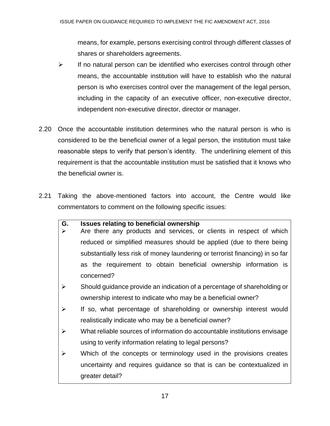means, for example, persons exercising control through different classes of shares or shareholders agreements.

- $\triangleright$  If no natural person can be identified who exercises control through other means, the accountable institution will have to establish who the natural person is who exercises control over the management of the legal person, including in the capacity of an executive officer, non-executive director, independent non-executive director, director or manager.
- 2.20 Once the accountable institution determines who the natural person is who is considered to be the beneficial owner of a legal person, the institution must take reasonable steps to verify that person's identity. The underlining element of this requirement is that the accountable institution must be satisfied that it knows who the beneficial owner is.
- 2.21 Taking the above-mentioned factors into account, the Centre would like commentators to comment on the following specific issues:

#### **G. Issues relating to beneficial ownership**

- $\triangleright$  Are there any products and services, or clients in respect of which reduced or simplified measures should be applied (due to there being substantially less risk of money laundering or terrorist financing) in so far as the requirement to obtain beneficial ownership information is concerned?
- $\triangleright$  Should guidance provide an indication of a percentage of shareholding or ownership interest to indicate who may be a beneficial owner?
- $\triangleright$  If so, what percentage of shareholding or ownership interest would realistically indicate who may be a beneficial owner?
- $\triangleright$  What reliable sources of information do accountable institutions envisage using to verify information relating to legal persons?
- $\triangleright$  Which of the concepts or terminology used in the provisions creates uncertainty and requires guidance so that is can be contextualized in greater detail?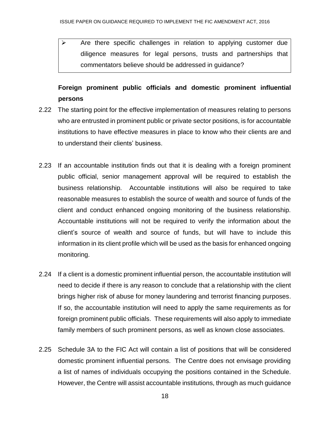$\triangleright$  Are there specific challenges in relation to applying customer due diligence measures for legal persons, trusts and partnerships that commentators believe should be addressed in guidance?

# **Foreign prominent public officials and domestic prominent influential persons**

- 2.22 The starting point for the effective implementation of measures relating to persons who are entrusted in prominent public or private sector positions, is for accountable institutions to have effective measures in place to know who their clients are and to understand their clients' business.
- 2.23 If an accountable institution finds out that it is dealing with a foreign prominent public official, senior management approval will be required to establish the business relationship. Accountable institutions will also be required to take reasonable measures to establish the source of wealth and source of funds of the client and conduct enhanced ongoing monitoring of the business relationship. Accountable institutions will not be required to verify the information about the client's source of wealth and source of funds, but will have to include this information in its client profile which will be used as the basis for enhanced ongoing monitoring.
- 2.24 If a client is a domestic prominent influential person, the accountable institution will need to decide if there is any reason to conclude that a relationship with the client brings higher risk of abuse for money laundering and terrorist financing purposes. If so, the accountable institution will need to apply the same requirements as for foreign prominent public officials. These requirements will also apply to immediate family members of such prominent persons, as well as known close associates.
- 2.25 Schedule 3A to the FIC Act will contain a list of positions that will be considered domestic prominent influential persons. The Centre does not envisage providing a list of names of individuals occupying the positions contained in the Schedule. However, the Centre will assist accountable institutions, through as much guidance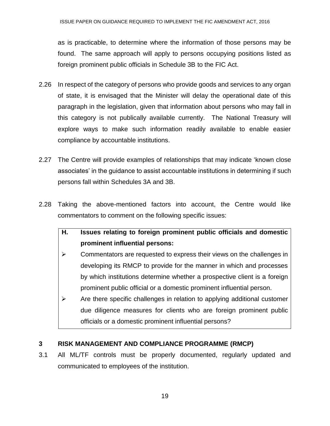as is practicable, to determine where the information of those persons may be found. The same approach will apply to persons occupying positions listed as foreign prominent public officials in Schedule 3B to the FIC Act.

- 2.26 In respect of the category of persons who provide goods and services to any organ of state, it is envisaged that the Minister will delay the operational date of this paragraph in the legislation, given that information about persons who may fall in this category is not publically available currently. The National Treasury will explore ways to make such information readily available to enable easier compliance by accountable institutions.
- 2.27 The Centre will provide examples of relationships that may indicate 'known close associates' in the guidance to assist accountable institutions in determining if such persons fall within Schedules 3A and 3B.
- 2.28 Taking the above-mentioned factors into account, the Centre would like commentators to comment on the following specific issues:
	- **H. Issues relating to foreign prominent public officials and domestic prominent influential persons:**
	- $\triangleright$  Commentators are requested to express their views on the challenges in developing its RMCP to provide for the manner in which and processes by which institutions determine whether a prospective client is a foreign prominent public official or a domestic prominent influential person.
	- $\triangleright$  Are there specific challenges in relation to applying additional customer due diligence measures for clients who are foreign prominent public officials or a domestic prominent influential persons?

# **3 RISK MANAGEMENT AND COMPLIANCE PROGRAMME (RMCP)**

3.1 All ML/TF controls must be properly documented, regularly updated and communicated to employees of the institution.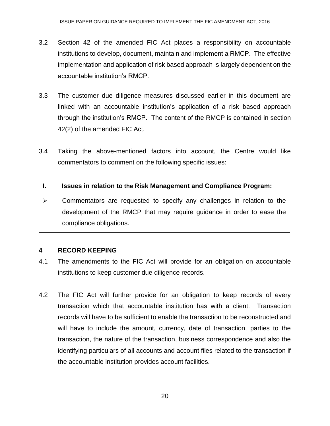- 3.2 Section 42 of the amended FIC Act places a responsibility on accountable institutions to develop, document, maintain and implement a RMCP. The effective implementation and application of risk based approach is largely dependent on the accountable institution's RMCP.
- 3.3 The customer due diligence measures discussed earlier in this document are linked with an accountable institution's application of a risk based approach through the institution's RMCP. The content of the RMCP is contained in section 42(2) of the amended FIC Act.
- 3.4 Taking the above-mentioned factors into account, the Centre would like commentators to comment on the following specific issues:

## **I. Issues in relation to the Risk Management and Compliance Program:**

 $\triangleright$  Commentators are requested to specify any challenges in relation to the development of the RMCP that may require guidance in order to ease the compliance obligations.

#### **4 RECORD KEEPING**

- 4.1 The amendments to the FIC Act will provide for an obligation on accountable institutions to keep customer due diligence records.
- 4.2 The FIC Act will further provide for an obligation to keep records of every transaction which that accountable institution has with a client. Transaction records will have to be sufficient to enable the transaction to be reconstructed and will have to include the amount, currency, date of transaction, parties to the transaction, the nature of the transaction, business correspondence and also the identifying particulars of all accounts and account files related to the transaction if the accountable institution provides account facilities.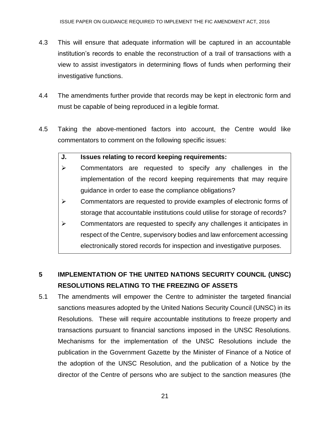- 4.3 This will ensure that adequate information will be captured in an accountable institution's records to enable the reconstruction of a trail of transactions with a view to assist investigators in determining flows of funds when performing their investigative functions.
- 4.4 The amendments further provide that records may be kept in electronic form and must be capable of being reproduced in a legible format.
- 4.5 Taking the above-mentioned factors into account, the Centre would like commentators to comment on the following specific issues:

#### **J. Issues relating to record keeping requirements:**

- $\triangleright$  Commentators are requested to specify any challenges in the implementation of the record keeping requirements that may require guidance in order to ease the compliance obligations?
- $\triangleright$  Commentators are requested to provide examples of electronic forms of storage that accountable institutions could utilise for storage of records?
- $\triangleright$  Commentators are requested to specify any challenges it anticipates in respect of the Centre, supervisory bodies and law enforcement accessing electronically stored records for inspection and investigative purposes.

# **5 IMPLEMENTATION OF THE UNITED NATIONS SECURITY COUNCIL (UNSC) RESOLUTIONS RELATING TO THE FREEZING OF ASSETS**

5.1 The amendments will empower the Centre to administer the targeted financial sanctions measures adopted by the United Nations Security Council (UNSC) in its Resolutions. These will require accountable institutions to freeze property and transactions pursuant to financial sanctions imposed in the UNSC Resolutions. Mechanisms for the implementation of the UNSC Resolutions include the publication in the Government Gazette by the Minister of Finance of a Notice of the adoption of the UNSC Resolution, and the publication of a Notice by the director of the Centre of persons who are subject to the sanction measures (the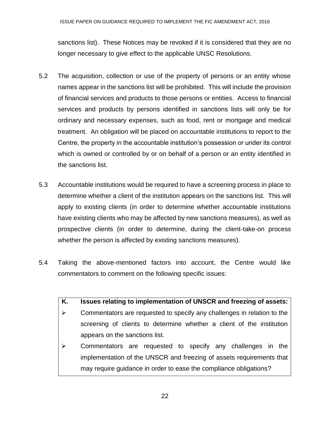sanctions list). These Notices may be revoked if it is considered that they are no longer necessary to give effect to the applicable UNSC Resolutions.

- 5.2 The acquisition, collection or use of the property of persons or an entity whose names appear in the sanctions list will be prohibited. This will include the provision of financial services and products to those persons or entities. Access to financial services and products by persons identified in sanctions lists will only be for ordinary and necessary expenses, such as food, rent or mortgage and medical treatment. An obligation will be placed on accountable institutions to report to the Centre, the property in the accountable institution's possession or under its control which is owned or controlled by or on behalf of a person or an entity identified in the sanctions list.
- 5.3 Accountable institutions would be required to have a screening process in place to determine whether a client of the institution appears on the sanctions list. This will apply to existing clients (in order to determine whether accountable institutions have existing clients who may be affected by new sanctions measures), as well as prospective clients (in order to determine, during the client-take-on process whether the person is affected by existing sanctions measures).
- 5.4 Taking the above-mentioned factors into account, the Centre would like commentators to comment on the following specific issues:
	- **K. Issues relating to implementation of UNSCR and freezing of assets:**
	- $\triangleright$  Commentators are requested to specify any challenges in relation to the screening of clients to determine whether a client of the institution appears on the sanctions list.
	- $\triangleright$  Commentators are requested to specify any challenges in the implementation of the UNSCR and freezing of assets requirements that may require guidance in order to ease the compliance obligations?